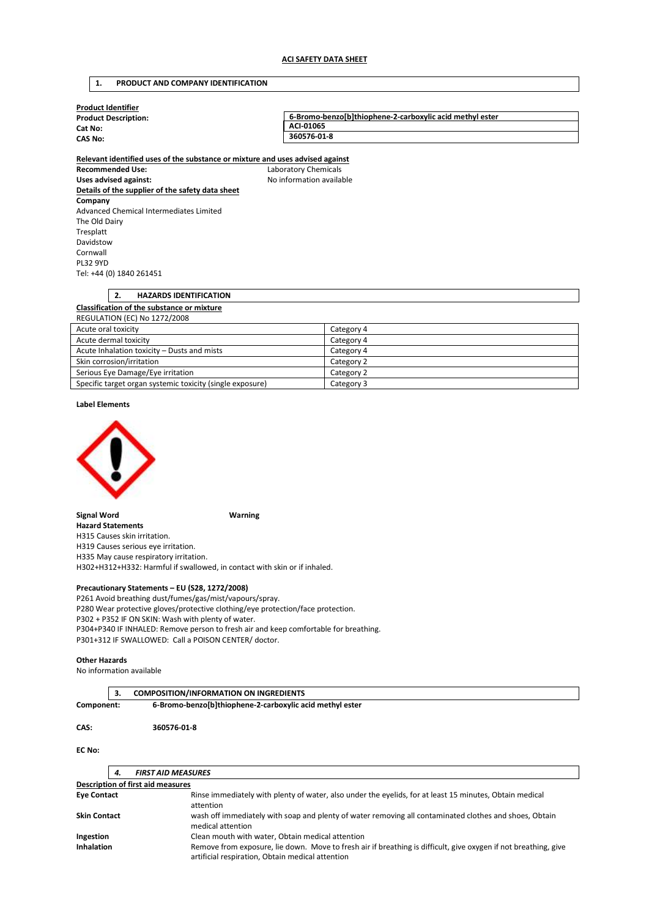## **1. PRODUCT AND COMPANY IDENTIFICATION**

| Product Identifier          |                                                          |
|-----------------------------|----------------------------------------------------------|
| <b>Product Description:</b> | 6-Bromo-benzo[b]thiophene-2-carboxylic acid methyl ester |
| Cat No:<br>CAS No:          | ACI-01065                                                |
|                             | 360576-01-8                                              |
|                             |                                                          |

**Relevant identified uses of the substance or mixture and uses advised against Recommended Use:** Laboratory Chemicals Uses advised against: **No information available Details of the supplier of the safety data sheet Company**  Advanced Chemical Intermediates Limited The Old Dairy Tresplatt Davidstow Cornwall PL32 9YD Tel: +44 (0) 1840 261451

# **2. HAZARDS IDENTIFICATION Classification of the substance or mixture**  REGULATION (EC) No 1272/2008

| Acute oral toxicity                                       | Category 4 |
|-----------------------------------------------------------|------------|
| Acute dermal toxicity                                     | Category 4 |
| Acute Inhalation toxicity – Dusts and mists               | Category 4 |
| Skin corrosion/irritation                                 | Category 2 |
| Serious Eye Damage/Eye irritation                         | Category 2 |
| Specific target organ systemic toxicity (single exposure) | Category 3 |

**Label Elements** 



**Signal Word Warning** 

**Hazard Statements**  H315 Causes skin irritation. H319 Causes serious eye irritation. H335 May cause respiratory irritation. H302+H312+H332: Harmful if swallowed, in contact with skin or if inhaled.

#### **Precautionary Statements – EU (S28, 1272/2008)**

P261 Avoid breathing dust/fumes/gas/mist/vapours/spray. P280 Wear protective gloves/protective clothing/eye protection/face protection. P302 + P352 IF ON SKIN: Wash with plenty of water. P304+P340 IF INHALED: Remove person to fresh air and keep comfortable for breathing. P301+312 IF SWALLOWED: Call a POISON CENTER/ doctor.

### **Other Hazards**

No information available

|            | <b>COMPOSITION/INFORMATION ON INGREDIENTS</b>            |
|------------|----------------------------------------------------------|
| Component: | 6-Bromo-benzo[b]thiophene-2-carboxylic acid methyl ester |
| CAS:       | 360576-01-8                                              |

### **EC No:**

| 4.                                                            | <b>FIRST AID MEASURES</b>                                                                                                                                           |
|---------------------------------------------------------------|---------------------------------------------------------------------------------------------------------------------------------------------------------------------|
|                                                               | <b>Description of first aid measures</b>                                                                                                                            |
| <b>Eye Contact</b>                                            | Rinse immediately with plenty of water, also under the eyelids, for at least 15 minutes, Obtain medical<br>attention                                                |
| <b>Skin Contact</b>                                           | wash off immediately with soap and plenty of water removing all contaminated clothes and shoes, Obtain<br>medical attention                                         |
| Clean mouth with water, Obtain medical attention<br>Ingestion |                                                                                                                                                                     |
| Inhalation                                                    | Remove from exposure, lie down. Move to fresh air if breathing is difficult, give oxygen if not breathing, give<br>artificial respiration, Obtain medical attention |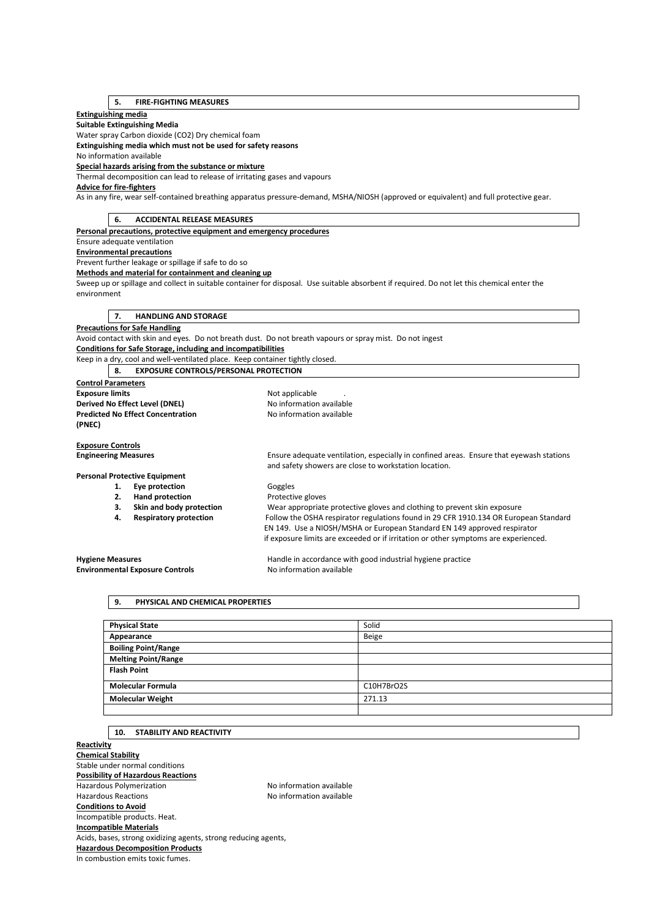## **5. FIRE-FIGHTING MEASURES**

### **Extinguishing media**

**Suitable Extinguishing Media** 

Water spray Carbon dioxide (CO2) Dry chemical foam

**Extinguishing media which must not be used for safety reasons** 

No information available

### **Special hazards arising from the substance or mixture**

Thermal decomposition can lead to release of irritating gases and vapours

**Advice for fire-fighters** 

As in any fire, wear self-contained breathing apparatus pressure-demand, MSHA/NIOSH (approved or equivalent) and full protective gear.

## **6. ACCIDENTAL RELEASE MEASURES**

**Personal precautions, protective equipment and emergency procedures** 

## Ensure adequate ventilation

**Environmental precautions** 

Prevent further leakage or spillage if safe to do so

#### **Methods and material for containment and cleaning up**

Sweep up or spillage and collect in suitable container for disposal. Use suitable absorbent if required. Do not let this chemical enter the environment

### **7. HANDLING AND STORAGE**

**Precautions for Safe Handling** 

Avoid contact with skin and eyes. Do not breath dust. Do not breath vapours or spray mist. Do not ingest

**Conditions for Safe Storage, including and incompatibilities** 

Keep in a dry, cool and well-ventilated place. Keep container tightly closed. **8. EXPOSURE CONTROLS/PERSONAL PROTECTION** 

| <b>Control Parameters</b>                |                                      |                                                                                         |
|------------------------------------------|--------------------------------------|-----------------------------------------------------------------------------------------|
| <b>Exposure limits</b>                   |                                      | Not applicable                                                                          |
| Derived No Effect Level (DNEL)           |                                      | No information available                                                                |
| <b>Predicted No Effect Concentration</b> |                                      | No information available                                                                |
| (PNEC)                                   |                                      |                                                                                         |
| <b>Exposure Controls</b>                 |                                      |                                                                                         |
| <b>Engineering Measures</b>              |                                      | Ensure adequate ventilation, especially in confined areas. Ensure that eyewash stations |
|                                          |                                      | and safety showers are close to workstation location.                                   |
|                                          | <b>Personal Protective Equipment</b> |                                                                                         |
| 1.                                       | Eye protection                       | Goggles                                                                                 |
| 2.                                       | <b>Hand protection</b>               | Protective gloves                                                                       |
| 3.                                       | Skin and body protection             | Wear appropriate protective gloves and clothing to prevent skin exposure                |
| 4.                                       | <b>Respiratory protection</b>        | Follow the OSHA respirator regulations found in 29 CFR 1910.134 OR European Standard    |
|                                          |                                      | EN 149. Use a NIOSH/MSHA or European Standard EN 149 approved respirator                |
|                                          |                                      | if exposure limits are exceeded or if irritation or other symptoms are experienced.     |
|                                          |                                      |                                                                                         |

**Environmental Exposure Controls No information available** 

**Hygiene Measures** Handle in accordance with good industrial hygiene practice

## **9. PHYSICAL AND CHEMICAL PROPERTIES**

| <b>Physical State</b>      | Solid      |
|----------------------------|------------|
| Appearance                 | Beige      |
| <b>Boiling Point/Range</b> |            |
| <b>Melting Point/Range</b> |            |
| <b>Flash Point</b>         |            |
| <b>Molecular Formula</b>   | C10H7BrO2S |
| <b>Molecular Weight</b>    | 271.13     |
|                            |            |

### **10. STABILITY AND REACTIVITY**

**Reactivity Chemical Stability**  Stable under normal conditions **Possibility of Hazardous Reactions**  Hazardous Polymerization Maximum No information available Hazardous Reactions No information available **Conditions to Avoid**  Incompatible products. Heat. **Incompatible Materials**  Acids, bases, strong oxidizing agents, strong reducing agents, **Hazardous Decomposition Products**  In combustion emits toxic fumes.